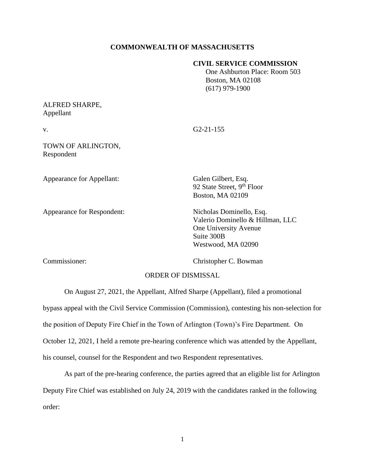## **COMMONWEALTH OF MASSACHUSETTS**

## **CIVIL SERVICE COMMISSION**

 One Ashburton Place: Room 503 Boston, MA 02108 (617) 979-1900

## ALFRED SHARPE, Appellant

v. G2-21-155

TOWN OF ARLINGTON, Respondent

Appearance for Appellant: Galen Gilbert, Esq.

Appearance for Respondent: Nicholas Dominello, Esq.

92 State Street, 9<sup>th</sup> Floor Boston, MA 02109

Valerio Dominello & Hillman, LLC One University Avenue Suite 300B Westwood, MA 02090

Commissioner: Christopher C. Bowman

## ORDER OF DISMISSAL

On August 27, 2021, the Appellant, Alfred Sharpe (Appellant), filed a promotional bypass appeal with the Civil Service Commission (Commission), contesting his non-selection for the position of Deputy Fire Chief in the Town of Arlington (Town)'s Fire Department. On October 12, 2021, I held a remote pre-hearing conference which was attended by the Appellant, his counsel, counsel for the Respondent and two Respondent representatives.

As part of the pre-hearing conference, the parties agreed that an eligible list for Arlington Deputy Fire Chief was established on July 24, 2019 with the candidates ranked in the following order: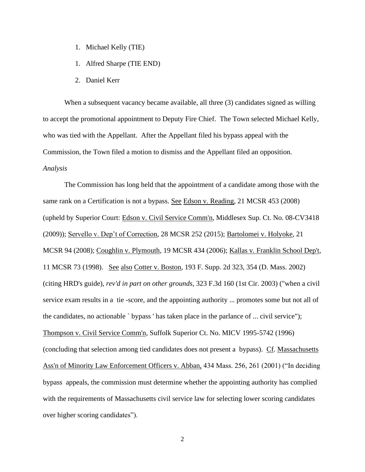- 1. Michael Kelly (TIE)
- 1. Alfred Sharpe (TIE END)
- 2. Daniel Kerr

When a subsequent vacancy became available, all three (3) candidates signed as willing to accept the promotional appointment to Deputy Fire Chief. The Town selected Michael Kelly, who was tied with the Appellant. After the Appellant filed his bypass appeal with the Commission, the Town filed a motion to dismiss and the Appellant filed an opposition. *Analysis*

The Commission has long held that the appointment of a candidate among those with the same rank on a Certification is not a bypass. See Edson v. Reading, 21 MCSR 453 (2008) (upheld by Superior Court: Edson v. Civil Service Comm'n, Middlesex Sup. Ct. No. 08-CV3418 (2009)); Servello v. Dep't of Correction, 28 MCSR 252 (2015); Bartolomei v. Holyoke, 21 MCSR 94 (2008); Coughlin v. Plymouth, 19 MCSR 434 (2006); Kallas v. Franklin School Dep't, 11 MCSR 73 (1998). See also Cotter v. Boston, 193 F. Supp. 2d 323, 354 (D. Mass. 2002) (citing HRD's guide), *rev'd in part on other grounds*, 323 F.3d 160 (1st Cir. 2003) ("when a civil service exam results in a tie -score, and the appointing authority ... promotes some but not all of the candidates, no actionable ` bypass ' has taken place in the parlance of ... civil service"); Thompson v. Civil Service Comm'n, Suffolk Superior Ct. No. MICV 1995-5742 (1996) (concluding that selection among tied candidates does not present a bypass). Cf. Massachusetts Ass'n of Minority Law Enforcement Officers v. Abban, 434 Mass. 256, 261 (2001) ("In deciding bypass appeals, the commission must determine whether the appointing authority has complied with the requirements of Massachusetts civil service law for selecting lower scoring candidates over higher scoring candidates").